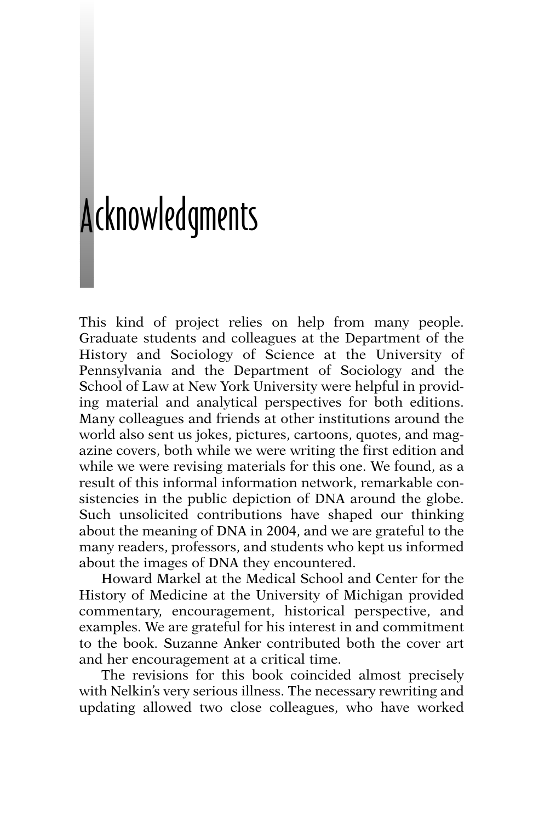## cknowledgments A

This kind of project relies on help from many people. Graduate students and colleagues at the Department of the History and Sociology of Science at the University of Pennsylvania and the Department of Sociology and the School of Law at New York University were helpful in providing material and analytical perspectives for both editions. Many colleagues and friends at other institutions around the world also sent us jokes, pictures, cartoons, quotes, and magazine covers, both while we were writing the first edition and while we were revising materials for this one. We found, as a result of this informal information network, remarkable consistencies in the public depiction of DNA around the globe. Such unsolicited contributions have shaped our thinking about the meaning of DNA in 2004, and we are grateful to the many readers, professors, and students who kept us informed about the images of DNA they encountered.

Howard Markel at the Medical School and Center for the History of Medicine at the University of Michigan provided commentary, encouragement, historical perspective, and examples. We are grateful for his interest in and commitment to the book. Suzanne Anker contributed both the cover art and her encouragement at a critical time.

The revisions for this book coincided almost precisely with Nelkin's very serious illness. The necessary rewriting and updating allowed two close colleagues, who have worked